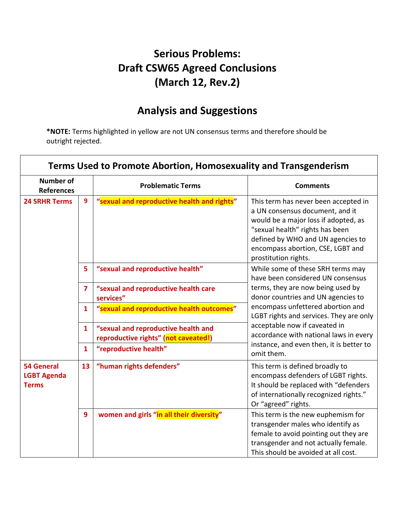### **Serious Problems: Draft CSW65 Agreed Conclusions (March 12, Rev.2)**

# **Analysis and Suggestions**

**\*NOTE:** Terms highlighted in yellow are not UN consensus terms and therefore should be outright rejected.

| <b>Terms Used to Promote Abortion, Homosexuality and Transgenderism</b> |                |                                                                             |                                                                                                                                                                                                                                                      |
|-------------------------------------------------------------------------|----------------|-----------------------------------------------------------------------------|------------------------------------------------------------------------------------------------------------------------------------------------------------------------------------------------------------------------------------------------------|
| <b>Number of</b><br><b>References</b>                                   |                | <b>Problematic Terms</b>                                                    | <b>Comments</b>                                                                                                                                                                                                                                      |
| <b>24 SRHR Terms</b>                                                    | 9              | "sexual and reproductive health and rights"                                 | This term has never been accepted in<br>a UN consensus document, and it<br>would be a major loss if adopted, as<br>"sexual health" rights has been<br>defined by WHO and UN agencies to<br>encompass abortion, CSE, LGBT and<br>prostitution rights. |
|                                                                         | 5              | "sexual and reproductive health"                                            | While some of these SRH terms may<br>have been considered UN consensus                                                                                                                                                                               |
|                                                                         | $\overline{ }$ | "sexual and reproductive health care<br>services"                           | terms, they are now being used by<br>donor countries and UN agencies to                                                                                                                                                                              |
|                                                                         | $\mathbf{1}$   | "sexual and reproductive health outcomes"                                   | encompass unfettered abortion and<br>LGBT rights and services. They are only                                                                                                                                                                         |
|                                                                         | $\mathbf{1}$   | "sexual and reproductive health and<br>reproductive rights" (not caveated!) | acceptable now if caveated in<br>accordance with national laws in every                                                                                                                                                                              |
|                                                                         | $\mathbf{1}$   | "reproductive health"                                                       | instance, and even then, it is better to<br>omit them.                                                                                                                                                                                               |
| <b>54 General</b><br><b>LGBT Agenda</b><br><b>Terms</b>                 | 13             | "human rights defenders"                                                    | This term is defined broadly to<br>encompass defenders of LGBT rights.<br>It should be replaced with "defenders<br>of internationally recognized rights."<br>Or "agreed" rights.                                                                     |
|                                                                         | 9              | women and girls "in all their diversity"                                    | This term is the new euphemism for<br>transgender males who identify as<br>female to avoid pointing out they are<br>transgender and not actually female.<br>This should be avoided at all cost.                                                      |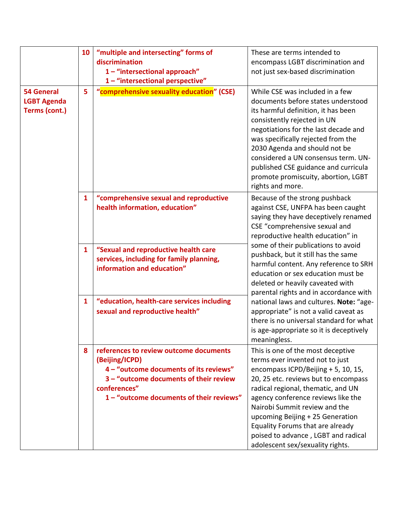| <b>54 General</b><br><b>LGBT Agenda</b><br>Terms (cont.) | 10<br>5      | "multiple and intersecting" forms of<br>discrimination<br>1-"intersectional approach"<br>1-"intersectional perspective"<br>"comprehensive sexuality education" (CSE)                                     | These are terms intended to<br>encompass LGBT discrimination and<br>not just sex-based discrimination<br>While CSE was included in a few<br>documents before states understood<br>its harmful definition, it has been<br>consistently rejected in UN<br>negotiations for the last decade and<br>was specifically rejected from the<br>2030 Agenda and should not be<br>considered a UN consensus term. UN-<br>published CSE guidance and curricula<br>promote promiscuity, abortion, LGBT |
|----------------------------------------------------------|--------------|----------------------------------------------------------------------------------------------------------------------------------------------------------------------------------------------------------|-------------------------------------------------------------------------------------------------------------------------------------------------------------------------------------------------------------------------------------------------------------------------------------------------------------------------------------------------------------------------------------------------------------------------------------------------------------------------------------------|
|                                                          | $\mathbf{1}$ | "comprehensive sexual and reproductive<br>health information, education"                                                                                                                                 | rights and more.<br>Because of the strong pushback<br>against CSE, UNFPA has been caught<br>saying they have deceptively renamed                                                                                                                                                                                                                                                                                                                                                          |
|                                                          |              |                                                                                                                                                                                                          | CSE "comprehensive sexual and<br>reproductive health education" in<br>some of their publications to avoid                                                                                                                                                                                                                                                                                                                                                                                 |
|                                                          | $\mathbf{1}$ | "Sexual and reproductive health care<br>services, including for family planning,<br>information and education"                                                                                           | pushback, but it still has the same<br>harmful content. Any reference to SRH<br>education or sex education must be<br>deleted or heavily caveated with<br>parental rights and in accordance with                                                                                                                                                                                                                                                                                          |
|                                                          | $\mathbf{1}$ | "education, health-care services including<br>sexual and reproductive health"                                                                                                                            | national laws and cultures. Note: "age-<br>appropriate" is not a valid caveat as<br>there is no universal standard for what<br>is age-appropriate so it is deceptively<br>meaningless.                                                                                                                                                                                                                                                                                                    |
|                                                          | 8            | references to review outcome documents<br>(Beijing/ICPD)<br>4 - "outcome documents of its reviews"<br>3 - "outcome documents of their review<br>conferences"<br>1 - "outcome documents of their reviews" | This is one of the most deceptive<br>terms ever invented not to just<br>encompass ICPD/Beijing + 5, 10, 15,<br>20, 25 etc. reviews but to encompass<br>radical regional, thematic, and UN<br>agency conference reviews like the<br>Nairobi Summit review and the<br>upcoming Beijing + 25 Generation<br>Equality Forums that are already<br>poised to advance, LGBT and radical<br>adolescent sex/sexuality rights.                                                                       |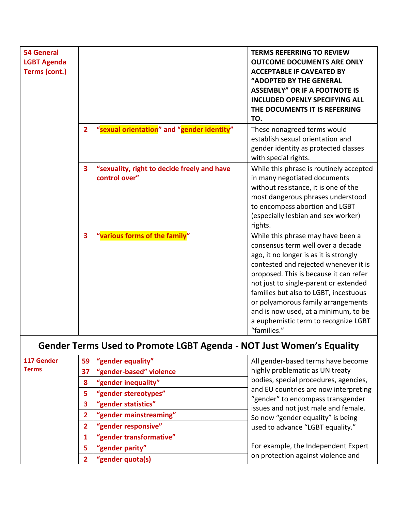| <b>54 General</b><br><b>LGBT Agenda</b><br>Terms (cont.) |                         |                                                              | <b>TERMS REFERRING TO REVIEW</b><br><b>OUTCOME DOCUMENTS ARE ONLY</b><br><b>ACCEPTABLE IF CAVEATED BY</b><br>"ADOPTED BY THE GENERAL<br><b>ASSEMBLY" OR IF A FOOTNOTE IS</b><br><b>INCLUDED OPENLY SPECIFYING ALL</b><br>THE DOCUMENTS IT IS REFERRING<br>TO.                                                                                                                                                              |
|----------------------------------------------------------|-------------------------|--------------------------------------------------------------|----------------------------------------------------------------------------------------------------------------------------------------------------------------------------------------------------------------------------------------------------------------------------------------------------------------------------------------------------------------------------------------------------------------------------|
|                                                          | $\overline{2}$          | "sexual orientation" and "gender identity"                   | These nonagreed terms would<br>establish sexual orientation and<br>gender identity as protected classes<br>with special rights.                                                                                                                                                                                                                                                                                            |
|                                                          | $\overline{\mathbf{3}}$ | "sexuality, right to decide freely and have<br>control over" | While this phrase is routinely accepted<br>in many negotiated documents<br>without resistance, it is one of the<br>most dangerous phrases understood<br>to encompass abortion and LGBT<br>(especially lesbian and sex worker)<br>rights.                                                                                                                                                                                   |
|                                                          | 3                       | "various forms of the family"                                | While this phrase may have been a<br>consensus term well over a decade<br>ago, it no longer is as it is strongly<br>contested and rejected whenever it is<br>proposed. This is because it can refer<br>not just to single-parent or extended<br>families but also to LGBT, incestuous<br>or polyamorous family arrangements<br>and is now used, at a minimum, to be<br>a euphemistic term to recognize LGBT<br>"families." |

# **Gender Terms Used to Promote LGBT Agenda - NOT Just Women's Equality**

| 117 Gender<br><b>Terms</b> | 59           | "gender equality"       | All gender-based terms have become                                                                                                                                                                                                                                      |
|----------------------------|--------------|-------------------------|-------------------------------------------------------------------------------------------------------------------------------------------------------------------------------------------------------------------------------------------------------------------------|
|                            | 37           | "gender-based" violence | highly problematic as UN treaty<br>bodies, special procedures, agencies,<br>and EU countries are now interpreting<br>"gender" to encompass transgender<br>issues and not just male and female.<br>So now "gender equality" is being<br>used to advance "LGBT equality." |
|                            | 8            | "gender inequality"     |                                                                                                                                                                                                                                                                         |
|                            | 5.           | "gender stereotypes"    |                                                                                                                                                                                                                                                                         |
|                            | 3            | "gender statistics"     |                                                                                                                                                                                                                                                                         |
|                            | $\mathbf{2}$ | "gender mainstreaming"  |                                                                                                                                                                                                                                                                         |
|                            | $\mathbf{2}$ | "gender responsive"     |                                                                                                                                                                                                                                                                         |
|                            |              | "gender transformative" |                                                                                                                                                                                                                                                                         |
|                            | 5            | "gender parity"         | For example, the Independent Expert                                                                                                                                                                                                                                     |
|                            | $\mathbf{2}$ | "gender quota(s)        | on protection against violence and                                                                                                                                                                                                                                      |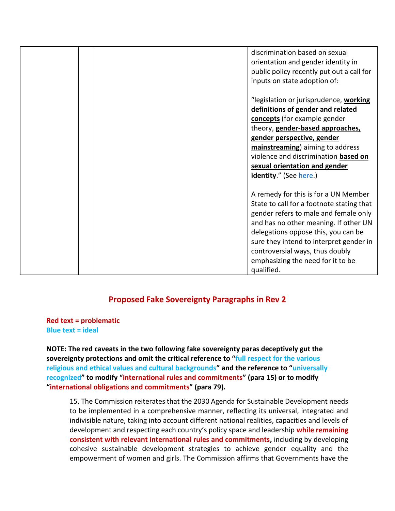|  | discrimination based on sexual            |
|--|-------------------------------------------|
|  | orientation and gender identity in        |
|  | public policy recently put out a call for |
|  | inputs on state adoption of:              |
|  |                                           |
|  | "legislation or jurisprudence, working    |
|  | definitions of gender and related         |
|  | concepts (for example gender              |
|  | theory, gender-based approaches,          |
|  | gender perspective, gender                |
|  | mainstreaming) aiming to address          |
|  | violence and discrimination based on      |
|  | sexual orientation and gender             |
|  | <b>identity.</b> " (See here.)            |
|  |                                           |
|  | A remedy for this is for a UN Member      |
|  | State to call for a footnote stating that |
|  | gender refers to male and female only     |
|  | and has no other meaning. If other UN     |
|  | delegations oppose this, you can be       |
|  | sure they intend to interpret gender in   |
|  | controversial ways, thus doubly           |
|  | emphasizing the need for it to be         |
|  | qualified.                                |

#### **Proposed Fake Sovereignty Paragraphs in Rev 2**

**Red text = problematic Blue text = ideal** 

**NOTE: The red caveats in the two following fake sovereignty paras deceptively gut the sovereignty protections and omit the critical reference to "full respect for the various religious and ethical values and cultural backgrounds" and the reference to "universally recognized" to modify "international rules and commitments" (para 15) or to modify "international obligations and commitments" (para 79).** 

15. The Commission reiterates that the 2030 Agenda for Sustainable Development needs to be implemented in a comprehensive manner, reflecting its universal, integrated and indivisible nature, taking into account different national realities, capacities and levels of development and respecting each country's policy space and leadership **while remaining consistent with relevant international rules and commitments,** including by developing cohesive sustainable development strategies to achieve gender equality and the empowerment of women and girls. The Commission affirms that Governments have the